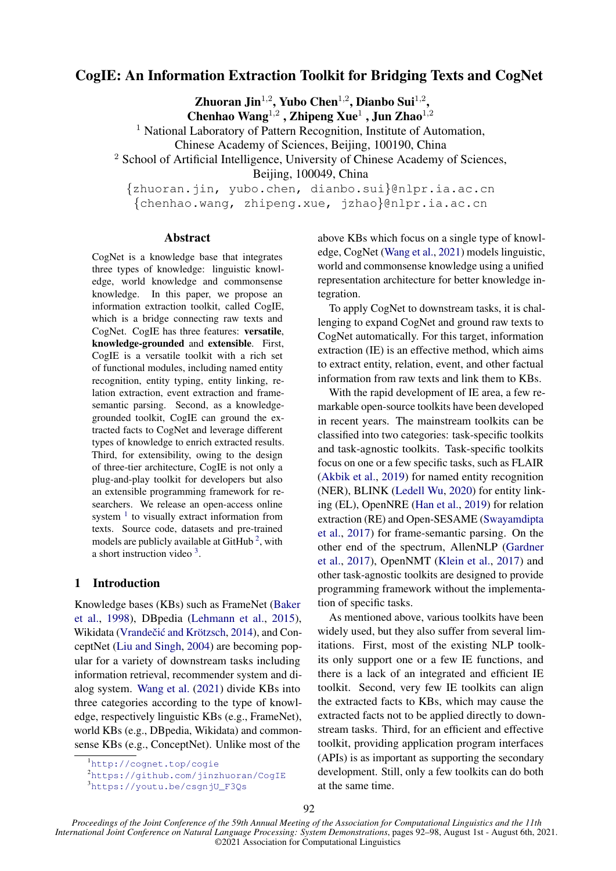# CogIE: An Information Extraction Toolkit for Bridging Texts and CogNet

Zhuoran Jin<sup>1,2</sup>, Yubo Chen<sup>1,2</sup>, Dianbo Sui<sup>1,2</sup>,

Chenhao Wang<sup>1,2</sup>, Zhipeng Xue<sup>1</sup>, Jun Zhao<sup>1,2</sup>

<sup>1</sup> National Laboratory of Pattern Recognition, Institute of Automation,

Chinese Academy of Sciences, Beijing, 100190, China

<sup>2</sup> School of Artificial Intelligence, University of Chinese Academy of Sciences,

Beijing, 100049, China

{zhuoran.jin, yubo.chen, dianbo.sui}@nlpr.ia.ac.cn {chenhao.wang, zhipeng.xue, jzhao}@nlpr.ia.ac.cn

#### Abstract

CogNet is a knowledge base that integrates three types of knowledge: linguistic knowledge, world knowledge and commonsense knowledge. In this paper, we propose an information extraction toolkit, called CogIE, which is a bridge connecting raw texts and CogNet. CogIE has three features: versatile, knowledge-grounded and extensible. First, CogIE is a versatile toolkit with a rich set of functional modules, including named entity recognition, entity typing, entity linking, relation extraction, event extraction and framesemantic parsing. Second, as a knowledgegrounded toolkit, CogIE can ground the extracted facts to CogNet and leverage different types of knowledge to enrich extracted results. Third, for extensibility, owing to the design of three-tier architecture, CogIE is not only a plug-and-play toolkit for developers but also an extensible programming framework for researchers. We release an open-access online system  $<sup>1</sup>$  $<sup>1</sup>$  $<sup>1</sup>$  to visually extract information from</sup> texts. Source code, datasets and pre-trained models are publicly available at GitHub<sup>[2](#page-0-1)</sup>, with a short instruction video  $3$ .

# 1 Introduction

Knowledge bases (KBs) such as FrameNet [\(Baker](#page-6-0) [et al.,](#page-6-0) [1998\)](#page-6-0), DBpedia [\(Lehmann et al.,](#page-6-1) [2015\)](#page-6-1), Wikidata (Vrandečić and Krötzsch, [2014\)](#page-6-2), and ConceptNet [\(Liu and Singh,](#page-6-3) [2004\)](#page-6-3) are becoming popular for a variety of downstream tasks including information retrieval, recommender system and dialog system. [Wang et al.](#page-6-4) [\(2021\)](#page-6-4) divide KBs into three categories according to the type of knowledge, respectively linguistic KBs (e.g., FrameNet), world KBs (e.g., DBpedia, Wikidata) and commonsense KBs (e.g., ConceptNet). Unlike most of the

above KBs which focus on a single type of knowledge, CogNet [\(Wang et al.,](#page-6-4) [2021\)](#page-6-4) models linguistic, world and commonsense knowledge using a unified representation architecture for better knowledge integration.

To apply CogNet to downstream tasks, it is challenging to expand CogNet and ground raw texts to CogNet automatically. For this target, information extraction (IE) is an effective method, which aims to extract entity, relation, event, and other factual information from raw texts and link them to KBs.

With the rapid development of IE area, a few remarkable open-source toolkits have been developed in recent years. The mainstream toolkits can be classified into two categories: task-specific toolkits and task-agnostic toolkits. Task-specific toolkits focus on one or a few specific tasks, such as FLAIR [\(Akbik et al.,](#page-6-5) [2019\)](#page-6-5) for named entity recognition (NER), BLINK [\(Ledell Wu,](#page-6-6) [2020\)](#page-6-6) for entity linking (EL), OpenNRE [\(Han et al.,](#page-6-7) [2019\)](#page-6-7) for relation extraction (RE) and Open-SESAME [\(Swayamdipta](#page-6-8) [et al.,](#page-6-8) [2017\)](#page-6-8) for frame-semantic parsing. On the other end of the spectrum, AllenNLP [\(Gardner](#page-6-9) [et al.,](#page-6-9) [2017\)](#page-6-9), OpenNMT [\(Klein et al.,](#page-6-10) [2017\)](#page-6-10) and other task-agnostic toolkits are designed to provide programming framework without the implementation of specific tasks.

As mentioned above, various toolkits have been widely used, but they also suffer from several limitations. First, most of the existing NLP toolkits only support one or a few IE functions, and there is a lack of an integrated and efficient IE toolkit. Second, very few IE toolkits can align the extracted facts to KBs, which may cause the extracted facts not to be applied directly to downstream tasks. Third, for an efficient and effective toolkit, providing application program interfaces (APIs) is as important as supporting the secondary development. Still, only a few toolkits can do both at the same time.

<span id="page-0-0"></span><sup>1</sup><http://cognet.top/cogie>

<span id="page-0-1"></span><sup>2</sup><https://github.com/jinzhuoran/CogIE>

<span id="page-0-2"></span><sup>3</sup>[https://youtu.be/csgnjU\\_F3Qs](https://youtu.be/csgnjU_F3Qs)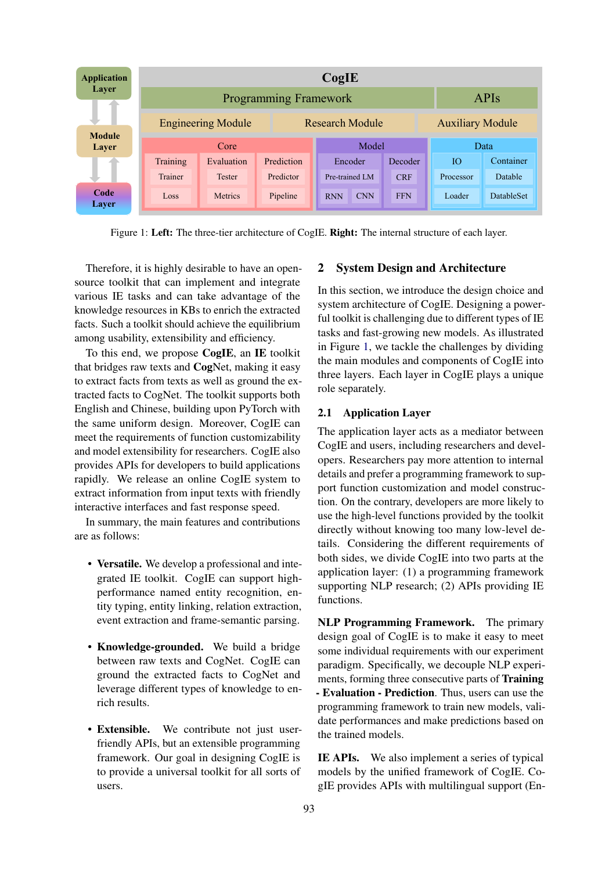<span id="page-1-0"></span>

| <b>Application</b>     | CogIE                        |                |                 |       |                          |  |            |                         |                   |  |  |  |
|------------------------|------------------------------|----------------|-----------------|-------|--------------------------|--|------------|-------------------------|-------------------|--|--|--|
| Laver                  | <b>Programming Framework</b> |                |                 |       |                          |  |            |                         | <b>APIs</b>       |  |  |  |
|                        | <b>Engineering Module</b>    |                | Research Module |       |                          |  |            | <b>Auxiliary Module</b> |                   |  |  |  |
| <b>Module</b><br>Layer | Core                         |                |                 | Model |                          |  |            |                         | Data              |  |  |  |
|                        | Training                     | Evaluation     | Prediction      |       | Encoder                  |  | Decoder    | Ю                       | Container         |  |  |  |
|                        | Trainer                      | <b>Tester</b>  | Predictor       |       | Pre-trained LM           |  | <b>CRF</b> | Processor               | Datable           |  |  |  |
| Code<br>Layer          | Loss                         | <b>Metrics</b> | Pipeline        |       | <b>CNN</b><br><b>RNN</b> |  | <b>FFN</b> | Loader                  | <b>DatableSet</b> |  |  |  |

Figure 1: Left: The three-tier architecture of CogIE. Right: The internal structure of each layer.

Therefore, it is highly desirable to have an opensource toolkit that can implement and integrate various IE tasks and can take advantage of the knowledge resources in KBs to enrich the extracted facts. Such a toolkit should achieve the equilibrium among usability, extensibility and efficiency.

To this end, we propose CogIE, an IE toolkit that bridges raw texts and CogNet, making it easy to extract facts from texts as well as ground the extracted facts to CogNet. The toolkit supports both English and Chinese, building upon PyTorch with the same uniform design. Moreover, CogIE can meet the requirements of function customizability and model extensibility for researchers. CogIE also provides APIs for developers to build applications rapidly. We release an online CogIE system to extract information from input texts with friendly interactive interfaces and fast response speed.

In summary, the main features and contributions are as follows:

- Versatile. We develop a professional and integrated IE toolkit. CogIE can support highperformance named entity recognition, entity typing, entity linking, relation extraction, event extraction and frame-semantic parsing.
- Knowledge-grounded. We build a bridge between raw texts and CogNet. CogIE can ground the extracted facts to CogNet and leverage different types of knowledge to enrich results.
- Extensible. We contribute not just userfriendly APIs, but an extensible programming framework. Our goal in designing CogIE is to provide a universal toolkit for all sorts of users.

# 2 System Design and Architecture

In this section, we introduce the design choice and system architecture of CogIE. Designing a powerful toolkit is challenging due to different types of IE tasks and fast-growing new models. As illustrated in Figure [1,](#page-1-0) we tackle the challenges by dividing the main modules and components of CogIE into three layers. Each layer in CogIE plays a unique role separately.

## 2.1 Application Layer

The application layer acts as a mediator between CogIE and users, including researchers and developers. Researchers pay more attention to internal details and prefer a programming framework to support function customization and model construction. On the contrary, developers are more likely to use the high-level functions provided by the toolkit directly without knowing too many low-level details. Considering the different requirements of both sides, we divide CogIE into two parts at the application layer: (1) a programming framework supporting NLP research; (2) APIs providing IE functions.

NLP Programming Framework. The primary design goal of CogIE is to make it easy to meet some individual requirements with our experiment paradigm. Specifically, we decouple NLP experiments, forming three consecutive parts of Training - Evaluation - Prediction. Thus, users can use the programming framework to train new models, validate performances and make predictions based on the trained models.

IE APIs. We also implement a series of typical models by the unified framework of CogIE. CogIE provides APIs with multilingual support (En-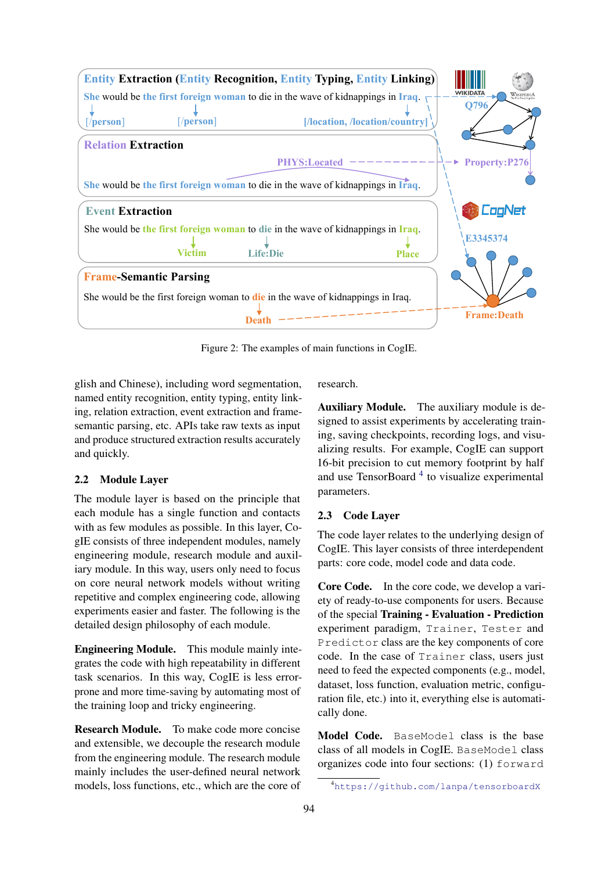<span id="page-2-1"></span>

Figure 2: The examples of main functions in CogIE.

glish and Chinese), including word segmentation, named entity recognition, entity typing, entity linking, relation extraction, event extraction and framesemantic parsing, etc. APIs take raw texts as input and produce structured extraction results accurately and quickly.

# 2.2 Module Layer

The module layer is based on the principle that each module has a single function and contacts with as few modules as possible. In this layer, CogIE consists of three independent modules, namely engineering module, research module and auxiliary module. In this way, users only need to focus on core neural network models without writing repetitive and complex engineering code, allowing experiments easier and faster. The following is the detailed design philosophy of each module.

Engineering Module. This module mainly integrates the code with high repeatability in different task scenarios. In this way, CogIE is less errorprone and more time-saving by automating most of the training loop and tricky engineering.

Research Module. To make code more concise and extensible, we decouple the research module from the engineering module. The research module mainly includes the user-defined neural network models, loss functions, etc., which are the core of research.

Auxiliary Module. The auxiliary module is designed to assist experiments by accelerating training, saving checkpoints, recording logs, and visualizing results. For example, CogIE can support 16-bit precision to cut memory footprint by half and use TensorBoard<sup>[4](#page-2-0)</sup> to visualize experimental parameters.

# 2.3 Code Layer

The code layer relates to the underlying design of CogIE. This layer consists of three interdependent parts: core code, model code and data code.

Core Code. In the core code, we develop a variety of ready-to-use components for users. Because of the special Training - Evaluation - Prediction experiment paradigm, Trainer, Tester and Predictor class are the key components of core code. In the case of Trainer class, users just need to feed the expected components (e.g., model, dataset, loss function, evaluation metric, configuration file, etc.) into it, everything else is automatically done.

Model Code. BaseModel class is the base class of all models in CogIE. BaseModel class organizes code into four sections: (1) forward

<span id="page-2-0"></span><sup>4</sup><https://github.com/lanpa/tensorboardX>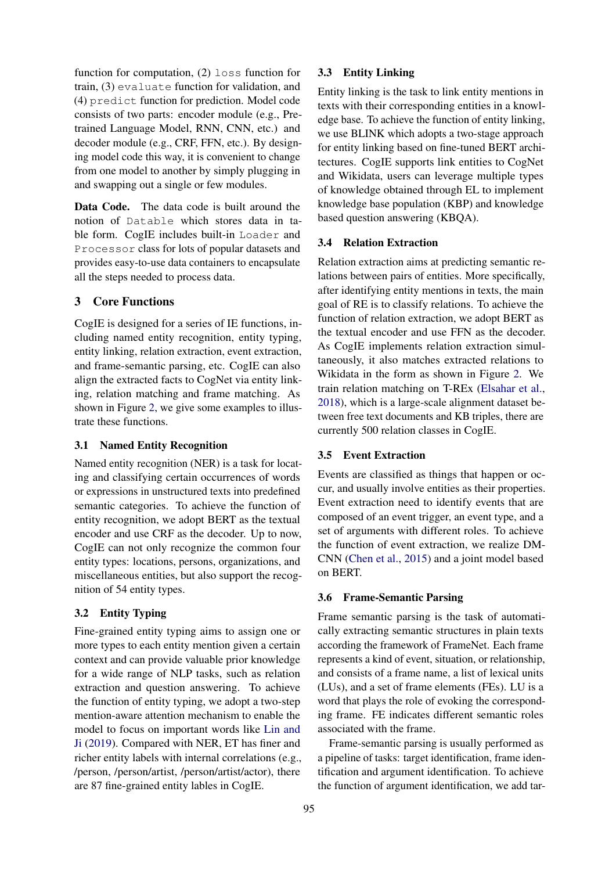function for computation, (2) loss function for train, (3) evaluate function for validation, and (4) predict function for prediction. Model code consists of two parts: encoder module (e.g., Pretrained Language Model, RNN, CNN, etc.) and decoder module (e.g., CRF, FFN, etc.). By designing model code this way, it is convenient to change from one model to another by simply plugging in and swapping out a single or few modules.

Data Code. The data code is built around the notion of Datable which stores data in table form. CogIE includes built-in Loader and Processor class for lots of popular datasets and provides easy-to-use data containers to encapsulate all the steps needed to process data.

# 3 Core Functions

CogIE is designed for a series of IE functions, including named entity recognition, entity typing, entity linking, relation extraction, event extraction, and frame-semantic parsing, etc. CogIE can also align the extracted facts to CogNet via entity linking, relation matching and frame matching. As shown in Figure [2,](#page-2-1) we give some examples to illustrate these functions.

# 3.1 Named Entity Recognition

Named entity recognition (NER) is a task for locating and classifying certain occurrences of words or expressions in unstructured texts into predefined semantic categories. To achieve the function of entity recognition, we adopt BERT as the textual encoder and use CRF as the decoder. Up to now, CogIE can not only recognize the common four entity types: locations, persons, organizations, and miscellaneous entities, but also support the recognition of 54 entity types.

# 3.2 Entity Typing

Fine-grained entity typing aims to assign one or more types to each entity mention given a certain context and can provide valuable prior knowledge for a wide range of NLP tasks, such as relation extraction and question answering. To achieve the function of entity typing, we adopt a two-step mention-aware attention mechanism to enable the model to focus on important words like [Lin and](#page-6-11) [Ji](#page-6-11) [\(2019\)](#page-6-11). Compared with NER, ET has finer and richer entity labels with internal correlations (e.g., /person, /person/artist, /person/artist/actor), there are 87 fine-grained entity lables in CogIE.

## 3.3 Entity Linking

Entity linking is the task to link entity mentions in texts with their corresponding entities in a knowledge base. To achieve the function of entity linking, we use BLINK which adopts a two-stage approach for entity linking based on fine-tuned BERT architectures. CogIE supports link entities to CogNet and Wikidata, users can leverage multiple types of knowledge obtained through EL to implement knowledge base population (KBP) and knowledge based question answering (KBQA).

# 3.4 Relation Extraction

Relation extraction aims at predicting semantic relations between pairs of entities. More specifically, after identifying entity mentions in texts, the main goal of RE is to classify relations. To achieve the function of relation extraction, we adopt BERT as the textual encoder and use FFN as the decoder. As CogIE implements relation extraction simultaneously, it also matches extracted relations to Wikidata in the form as shown in Figure [2.](#page-2-1) We train relation matching on T-REx [\(Elsahar et al.,](#page-6-12) [2018\)](#page-6-12), which is a large-scale alignment dataset between free text documents and KB triples, there are currently 500 relation classes in CogIE.

#### 3.5 Event Extraction

Events are classified as things that happen or occur, and usually involve entities as their properties. Event extraction need to identify events that are composed of an event trigger, an event type, and a set of arguments with different roles. To achieve the function of event extraction, we realize DM-CNN [\(Chen et al.,](#page-6-13) [2015\)](#page-6-13) and a joint model based on BERT.

#### 3.6 Frame-Semantic Parsing

Frame semantic parsing is the task of automatically extracting semantic structures in plain texts according the framework of FrameNet. Each frame represents a kind of event, situation, or relationship, and consists of a frame name, a list of lexical units (LUs), and a set of frame elements (FEs). LU is a word that plays the role of evoking the corresponding frame. FE indicates different semantic roles associated with the frame.

Frame-semantic parsing is usually performed as a pipeline of tasks: target identification, frame identification and argument identification. To achieve the function of argument identification, we add tar-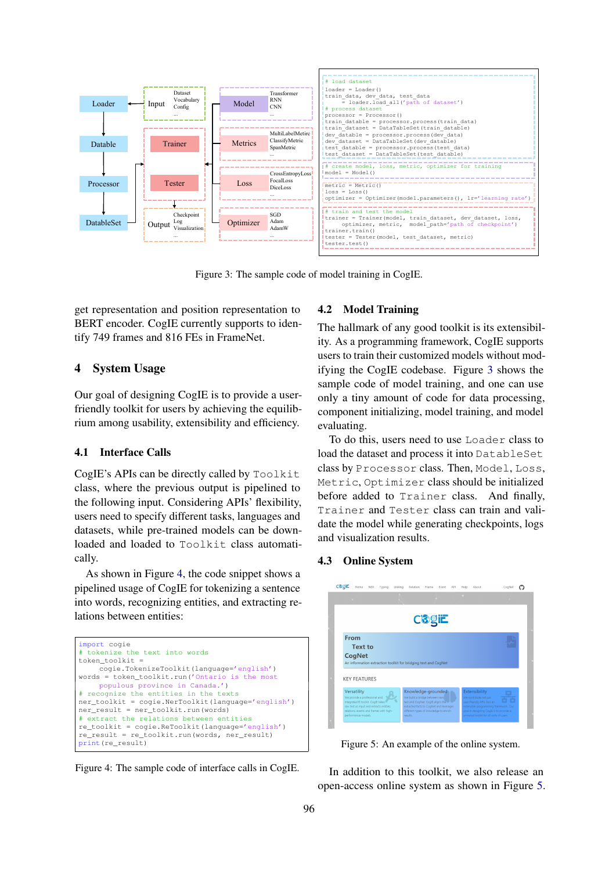<span id="page-4-1"></span>

Figure 3: The sample code of model training in CogIE.

get representation and position representation to BERT encoder. CogIE currently supports to identify 749 frames and 816 FEs in FrameNet.

# 4 System Usage

Our goal of designing CogIE is to provide a userfriendly toolkit for users by achieving the equilibrium among usability, extensibility and efficiency.

## 4.1 Interface Calls

CogIE's APIs can be directly called by Toolkit class, where the previous output is pipelined to the following input. Considering APIs' flexibility, the following input. Considering the following, datasets, while pre-trained models can be downloaded and loaded to Toolkit class automati-datasets, while pre-trained models can be downcally. 4.1 Interface Calls loaded and loaded to Toolkit class automati-

As shown in Figure [4,](#page-4-0) the code snippet shows a The shown in 1 igure 1, the code sinppet shows a pipelined usage of CogIE for tokenizing a sentence into words, recognizing entities, and extracting relations between entities: recognizing entities, and extracting relations between ontities.

```
import cogie
# tokenize the text into words
token_toolkit =
    -<br>cogie.TokenizeToolkit(language='english')
words = token toolkit.run('Ontario is the most
    populous province in Canada.')
# recognize the entities in the texts
ner_toolkit = cogie.NerToolkit(language='english')
ner_result = ner_toolkit.run(words)
# extract the relations between entities
re_toolkit = cogie.ReToolkit(language='english')
re result = re_toolkit.run(words, ner_result)
print(re_result)
```
 $\frac{1}{2}$ Figure 4: The sample code of interface calls in CogIE.

#### 4.2 Model Training

ity. As a programming framework, CogIE supports ity. This a programming mantework, coging supports users to train their customized models without mod-ifying the CogIE codebase. Figure [3](#page-4-1) shows the sample code of model training, and one can use sample code of model training, and one can ase<br>only a tiny amount of code for data processing,  $\frac{m}{2}$  a  $\frac{m}{2}$ component initializing, model training, and model<br>
cualizing The hallmark of any good toolkit is its extensibilevaluating.

To do this, users need to use Loader class to load the dataset and process it into DatableSet rad the dataset and process it mile Bacabitebook<br>class by Processor class. Then, Model, Loss, before added to Trainer class. Then,  $f_{\text{1}}$  and  $f_{\text{2}}$ ,  $f_{\text{2}}$ ,  $f_{\text{3}}$ ,  $f_{\text{4}}$ ,  $f_{\text{5}}$ ,  $f_{\text{5}}$ ,  $f_{\text{6}}$ ,  $f_{\text{7}}$ ,  $f_{\text{8}}$ ,  $f_{\text{8}}$ ,  $f_{\text{8}}$ ,  $f_{\text{8}}$ ,  $f_{\text{8}}$ ,  $f_{\text{8}}$ ,  $f_{\text{8}}$ ,  $f_{\text{$ modified to Trainer class should be inhumbed<br>before added to Trainer class. And finally, decide dated to frammer chass. This midning, Trainer and Tester class can train and validate the model while generating checkpoints, logs and visualization results.

# 4.3 Online System

<span id="page-4-2"></span>

Figure 4: An example of the online system. Figure 5: An example of the online system.

In addition to this toolkit, we also release an open-access online system as shown in Figure [5.](#page-4-2) Chinese) as shown in Figure 4. We train models for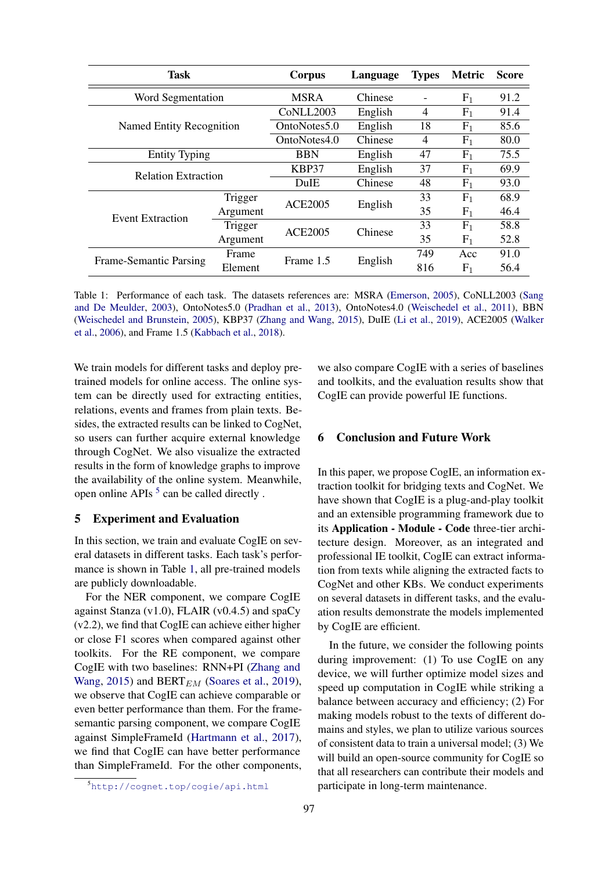<span id="page-5-1"></span>

| <b>Task</b>                | Corpus                             | Language       | <b>Types</b> | <b>Metric</b>  | <b>Score</b>   |      |
|----------------------------|------------------------------------|----------------|--------------|----------------|----------------|------|
| Word Segmentation          | <b>MSRA</b>                        | Chinese        |              | $F_1$          | 91.2           |      |
|                            | C <sub>o</sub> NLL <sub>2003</sub> | English        | 4            | F <sub>1</sub> | 91.4           |      |
| Named Entity Recognition   | OntoNotes5.0                       | English        | 18           | $F_1$          | 85.6           |      |
|                            | OntoNotes4.0                       | Chinese        | 4            | $F_1$          | 80.0           |      |
| <b>Entity Typing</b>       | <b>BBN</b>                         | English        | 47           | $F_1$          | 75.5           |      |
| <b>Relation Extraction</b> | KBP37                              | English        | 37           | $F_1$          | 69.9           |      |
|                            | <b>DuIE</b>                        | Chinese        | 48           | $F_1$          | 93.0           |      |
|                            | Trigger                            | <b>ACE2005</b> | English      | 33             | $F_1$          | 68.9 |
| Event Extraction           | Argument                           |                |              | 35             | $F_1$          | 46.4 |
|                            | Trigger                            | <b>ACE2005</b> | Chinese      | 33             | $F_1$          | 58.8 |
|                            | Argument                           |                |              | 35             | $F_1$          | 52.8 |
| Frame-Semantic Parsing     | Frame                              | Frame 1.5      | English      | 749            | Acc            | 91.0 |
|                            | Element                            |                |              | 816            | F <sub>1</sub> | 56.4 |

Table 1: Performance of each task. The datasets references are: MSRA [\(Emerson,](#page-6-14) [2005\)](#page-6-14), CoNLL2003 [\(Sang](#page-6-15) [and De Meulder,](#page-6-15) [2003\)](#page-6-15), OntoNotes5.0 [\(Pradhan et al.,](#page-6-16) [2013\)](#page-6-16), OntoNotes4.0 [\(Weischedel et al.,](#page-6-17) [2011\)](#page-6-17), BBN [\(Weischedel and Brunstein,](#page-6-18) [2005\)](#page-6-18), KBP37 [\(Zhang and Wang,](#page-6-19) [2015\)](#page-6-19), DuIE [\(Li et al.,](#page-6-20) [2019\)](#page-6-20), ACE2005 [\(Walker](#page-6-21) [et al.,](#page-6-21) [2006\)](#page-6-21), and Frame 1.5 [\(Kabbach et al.,](#page-6-22) [2018\)](#page-6-22).

We train models for different tasks and deploy pretrained models for online access. The online system can be directly used for extracting entities, relations, events and frames from plain texts. Besides, the extracted results can be linked to CogNet, so users can further acquire external knowledge through CogNet. We also visualize the extracted results in the form of knowledge graphs to improve the availability of the online system. Meanwhile, open online APIs  $5$  can be called directly.

# 5 Experiment and Evaluation

In this section, we train and evaluate CogIE on several datasets in different tasks. Each task's performance is shown in Table [1,](#page-5-1) all pre-trained models are publicly downloadable.

For the NER component, we compare CogIE against Stanza  $(v1.0)$ , FLAIR  $(v0.4.5)$  and spaCy (v2.2), we find that CogIE can achieve either higher or close F1 scores when compared against other toolkits. For the RE component, we compare CogIE with two baselines: RNN+PI [\(Zhang and](#page-6-19) [Wang,](#page-6-19) [2015\)](#page-6-19) and BERT $_{EM}$  [\(Soares et al.,](#page-6-23) [2019\)](#page-6-23), we observe that CogIE can achieve comparable or even better performance than them. For the framesemantic parsing component, we compare CogIE against SimpleFrameId [\(Hartmann et al.,](#page-6-24) [2017\)](#page-6-24), we find that CogIE can have better performance than SimpleFrameId. For the other components, we also compare CogIE with a series of baselines and toolkits, and the evaluation results show that CogIE can provide powerful IE functions.

# 6 Conclusion and Future Work

In this paper, we propose CogIE, an information extraction toolkit for bridging texts and CogNet. We have shown that CogIE is a plug-and-play toolkit and an extensible programming framework due to its Application - Module - Code three-tier architecture design. Moreover, as an integrated and professional IE toolkit, CogIE can extract information from texts while aligning the extracted facts to CogNet and other KBs. We conduct experiments on several datasets in different tasks, and the evaluation results demonstrate the models implemented by CogIE are efficient.

In the future, we consider the following points during improvement: (1) To use CogIE on any device, we will further optimize model sizes and speed up computation in CogIE while striking a balance between accuracy and efficiency; (2) For making models robust to the texts of different domains and styles, we plan to utilize various sources of consistent data to train a universal model; (3) We will build an open-source community for CogIE so that all researchers can contribute their models and participate in long-term maintenance.

<span id="page-5-0"></span><sup>5</sup><http://cognet.top/cogie/api.html>